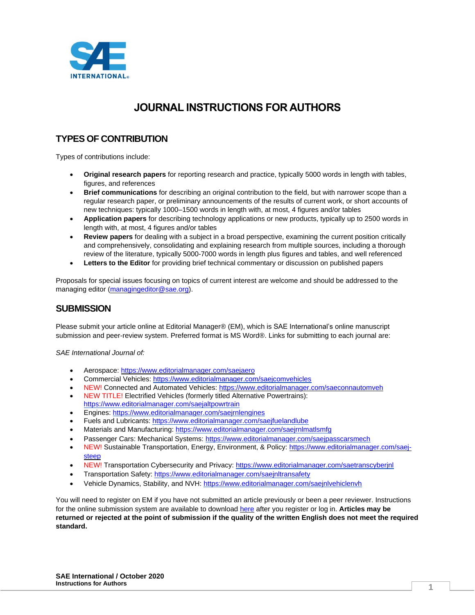

# **JOURNAL INSTRUCTIONS FOR AUTHORS**

# **TYPES OF CONTRIBUTION**

Types of contributions include:

- **Original research papers** for reporting research and practice, typically 5000 words in length with tables, figures, and references
- **Brief communications** for describing an original contribution to the field, but with narrower scope than a regular research paper, or preliminary announcements of the results of current work, or short accounts of new techniques: typically 1000–1500 words in length with, at most, 4 figures and/or tables
- **Application papers** for describing technology applications or new products, typically up to 2500 words in length with, at most, 4 figures and/or tables
- **Review papers** for dealing with a subject in a broad perspective, examining the current position critically and comprehensively, consolidating and explaining research from multiple sources, including a thorough review of the literature, typically 5000-7000 words in length plus figures and tables, and well referenced
- **Letters to the Editor** for providing brief technical commentary or discussion on published papers

Proposals for special issues focusing on topics of current interest are welcome and should be addressed to the managing editor [\(managingeditor@sae.org\)](mailto:managingeditor@sae.org).

# **SUBMISSION**

Please submit your article online at Editorial Manager® (EM), which is SAE International's online manuscript submission and peer-review system. Preferred format is MS Word®. Links for submitting to each journal are:

*SAE International Journal of:*

- Aerospace:<https://www.editorialmanager.com/saejaero>
- Commercial Vehicles[: https://www.editorialmanager.com/saejcomvehicles](https://www.editorialmanager.com/saejcomvehicles)
- NEW! Connected and Automated Vehicles: <https://www.editorialmanager.com/saeconnautomveh>
- NEW TITLE! Electrified Vehicles (formerly titled Alternative Powertrains): <https://www.editorialmanager.com/saejaltpowrtrain>
- Engines[: https://www.editorialmanager.com/saejrnlengines](https://www.editorialmanager.com/saejrnlengines)
- Fuels and Lubricants[: https://www.editorialmanager.com/saejfuelandlube](https://www.editorialmanager.com/saejfuelandlube)
- Materials and Manufacturing[: https://www.editorialmanager.com/saejrnlmatlsmfg](https://www.editorialmanager.com/saejrnlmatlsmfg)
- Passenger Cars: Mechanical Systems:<https://www.editorialmanager.com/saejpasscarsmech>
- NEW! Sustainable Transportation, Energy, Environment, & Policy: [https://www.editorialmanager.com/saej](https://www.editorialmanager.com/saej-steep)[steep](https://www.editorialmanager.com/saej-steep)
- NEW! Transportation Cybersecurity and Privacy:<https://www.editorialmanager.com/saetranscyberjnl>
- Transportation Safety:<https://www.editorialmanager.com/saejnltransafety>
- Vehicle Dynamics, Stability, and NVH[: https://www.editorialmanager.com/saejnlvehiclenvh](https://www.editorialmanager.com/saejnlvehiclenvh)

You will need to register on EM if you have not submitted an article previously or been a peer reviewer. Instructions for the online submission system are available to download [here](https://www.ariessys.com/wp-content/uploads/EM-Author-English.pdf) after you register or log in. **Articles may be returned or rejected at the point of submission if the quality of the written English does not meet the required standard.**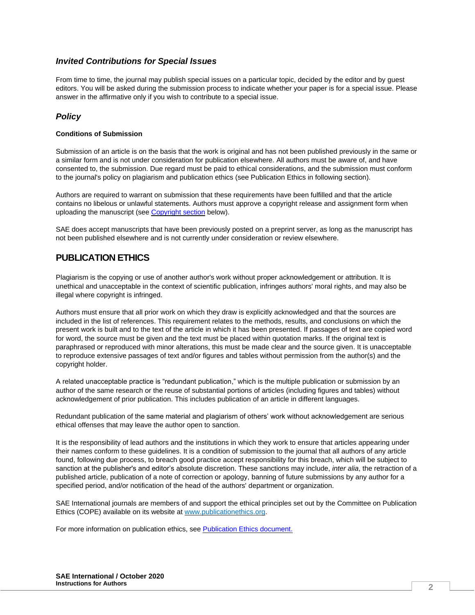### *Invited Contributions for Special Issues*

From time to time, the journal may publish special issues on a particular topic, decided by the editor and by guest editors. You will be asked during the submission process to indicate whether your paper is for a special issue. Please answer in the affirmative only if you wish to contribute to a special issue.

### *Policy*

#### **Conditions of Submission**

Submission of an article is on the basis that the work is original and has not been published previously in the same or a similar form and is not under consideration for publication elsewhere. All authors must be aware of, and have consented to, the submission. Due regard must be paid to ethical considerations, and the submission must conform to the journal's policy on plagiarism and publication ethics (see Publication Ethics in following section).

Authors are required to warrant on submission that these requirements have been fulfilled and that the article contains no libelous or unlawful statements. Authors must approve a copyright release and assignment form when uploading the manuscript (see [Copyright section](#page-2-0) below).

SAE does accept manuscripts that have been previously posted on a preprint server, as long as the manuscript has not been published elsewhere and is not currently under consideration or review elsewhere.

# **PUBLICATION ETHICS**

Plagiarism is the copying or use of another author's work without proper acknowledgement or attribution. It is unethical and unacceptable in the context of scientific publication, infringes authors' moral rights, and may also be illegal where copyright is infringed.

Authors must ensure that all prior work on which they draw is explicitly acknowledged and that the sources are included in the list of references. This requirement relates to the methods, results, and conclusions on which the present work is built and to the text of the article in which it has been presented. If passages of text are copied word for word, the source must be given and the text must be placed within quotation marks. If the original text is paraphrased or reproduced with minor alterations, this must be made clear and the source given. It is unacceptable to reproduce extensive passages of text and/or figures and tables without permission from the author(s) and the copyright holder.

A related unacceptable practice is "redundant publication," which is the multiple publication or submission by an author of the same research or the reuse of substantial portions of articles (including figures and tables) without acknowledgement of prior publication. This includes publication of an article in different languages.

Redundant publication of the same material and plagiarism of others' work without acknowledgement are serious ethical offenses that may leave the author open to sanction.

It is the responsibility of lead authors and the institutions in which they work to ensure that articles appearing under their names conform to these guidelines. It is a condition of submission to the journal that all authors of any article found, following due process, to breach good practice accept responsibility for this breach, which will be subject to sanction at the publisher's and editor's absolute discretion. These sanctions may include, *inter alia*, the retraction of a published article, publication of a note of correction or apology, banning of future submissions by any author for a specified period, and/or notification of the head of the authors' department or organization.

SAE International journals are members of and support the ethical principles set out by the Committee on Publication Ethics (COPE) available on its website at [www.publicationethics.org.](http://www.publicationethics.org/)

For more information on publication ethics, se[e Publication Ethics](https://www.sae.org/binaries/content/assets/cm/content/publications/journals/resources/publishingethics.pdf) document.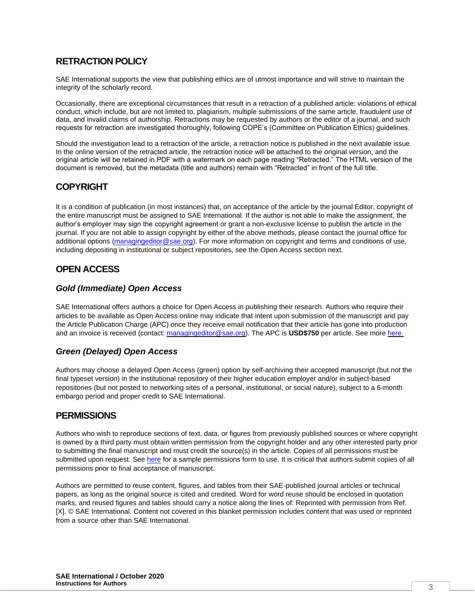# **RETRACTION POLICY**

SAE International supports the view that publishing ethics are of utmost importance and will strive to maintain the integrity of the scholarly record.

Occasionally, there are exceptional circumstances that result in a retraction of a published article: violations of ethical conduct, which include, but are not limited to, plagiarism, multiple submissions of the same article, fraudulent use of data, and invalid claims of authorship. Retractions may be requested by authors or the editor of a journal, and such requests for retraction are investigated thoroughly, following COPE's (Committee on Publication Ethics) guidelines.

Should the investigation lead to a retraction of the article, a retraction notice is published in the next available issue. In the online version of the retracted article, the retraction notice will be attached to the original version, and the original article will be retained in PDF with a watermark on each page reading "Retracted." The HTML version of the document is removed, but the metadata (title and authors) remain with "Retracted" in front of the full title.

# <span id="page-2-0"></span>**COPYRIGHT**

It is a condition of publication (in most instances) that, on acceptance of the article by the journal Editor, copyright of the entire manuscript must be assigned to SAE International. If the author is not able to make the assignment, the author's employer may sign the copyright agreement or grant a non-exclusive license to publish the article in the journal. If you are not able to assign copyright by either of the above methods, please contact the journal office for additional options [\(managingeditor@sae.org\)](mailto:managingeditor@sae.org). For more information on copyright and terms and conditions of use, including depositing in institutional or subject repositories, see the Open Access section next.

# **OPEN ACCESS**

### *Gold (Immediate) Open Access*

SAE International offers authors a choice for Open Access in publishing their research. Authors who require their articles to be available as Open Access online may indicate that intent upon submission of the manuscript and pay the Article Publication Charge (APC) once they receive email notification that their article has gone into production and an invoice is received (contact: [managingeditor@sae.org\)](mailto:managingeditor@sae.org). The APC is **USD\$750** per article. See more [here.](https://www.sae.org/binaries/content/assets/cm/content/publications/journals/resources/openaccesspolicy.pdf)

# *Green (Delayed) Open Access*

Authors may choose a delayed Open Access (green) option by self-archiving their accepted manuscript (but not the final typeset version) in the institutional repository of their higher education employer and/or in subject-based repositories (but not posted to networking sites of a personal, institutional, or social nature), subject to a 6-month embargo period and proper credit to SAE International.

# **PERMISSIONS**

Authors who wish to reproduce sections of text, data, or figures from previously published sources or where copyright is owned by a third party must obtain written permission from the copyright holder and any other interested party prior to submitting the final manuscript and must credit the source(s) in the article. Copies of all permissions must be submitted upon request. See [here](http://volunteers.sae.org/authors/copyrightpermission.pdf) for a sample permissions form to use. It is critical that authors submit copies of all permissions prior to final acceptance of manuscript.

Authors are permitted to reuse content, figures, and tables from their SAE-published journal articles or technical papers, as long as the original source is cited and credited. Word for word reuse should be enclosed in quotation marks, and reused figures and tables should carry a notice along the lines of: Reprinted with permission from Ref. [X]. © SAE International. Content not covered in this blanket permission includes content that was used or reprinted from a source other than SAE International.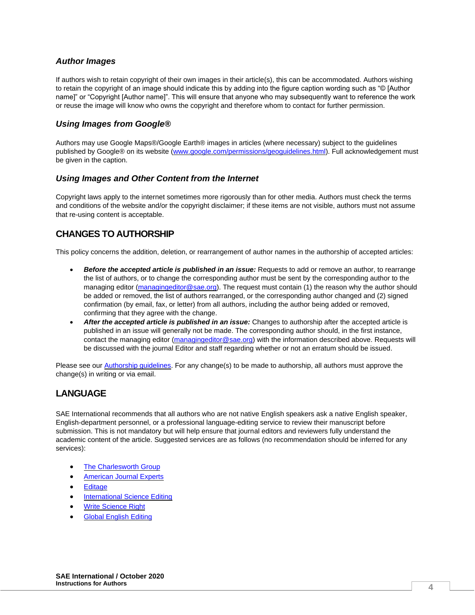### *Author Images*

If authors wish to retain copyright of their own images in their article(s), this can be accommodated. Authors wishing to retain the copyright of an image should indicate this by adding into the figure caption wording such as "© [Author name]" or "Copyright [Author name]". This will ensure that anyone who may subsequently want to reference the work or reuse the image will know who owns the copyright and therefore whom to contact for further permission.

# *Using Images from Google®*

Authors may use Google Maps®/Google Earth® images in articles (where necessary) subject to the guidelines published by Google® on its website [\(www.google.com/permissions/geoguidelines.html\)](http://www.google.com/permissions/geoguidelines.html). Full acknowledgement must be given in the caption.

### *Using Images and Other Content from the Internet*

Copyright laws apply to the internet sometimes more rigorously than for other media. Authors must check the terms and conditions of the website and/or the copyright disclaimer; if these items are not visible, authors must not assume that re-using content is acceptable.

# **CHANGES TO AUTHORSHIP**

This policy concerns the addition, deletion, or rearrangement of author names in the authorship of accepted articles:

- *Before the accepted article is published in an issue:* Requests to add or remove an author, to rearrange the list of authors, or to change the corresponding author must be sent by the corresponding author to the managing editor [\(managingeditor@sae.org\)](mailto:managingeditor@sae.org). The request must contain (1) the reason why the author should be added or removed, the list of authors rearranged, or the corresponding author changed and (2) signed confirmation (by email, fax, or letter) from all authors, including the author being added or removed, confirming that they agree with the change.
- *After the accepted article is published in an issue:* Changes to authorship after the accepted article is published in an issue will generally not be made. The corresponding author should, in the first instance, contact the managing editor [\(managingeditor@sae.org\)](mailto:managingeditor@sae.org) with the information described above. Requests will be discussed with the journal Editor and staff regarding whether or not an erratum should be issued.

Please see ou[r Authorship guidelines.](https://www.sae.org/publications/journals/resources/authorship) For any change(s) to be made to authorship, all authors must approve the change(s) in writing or via email.

# **LANGUAGE**

SAE International recommends that all authors who are not native English speakers ask a native English speaker, English-department personnel, or a professional language-editing service to review their manuscript before submission. This is not mandatory but will help ensure that journal editors and reviewers fully understand the academic content of the article. Suggested services are as follows (no recommendation should be inferred for any services):

- **[The Charlesworth Group](http://www.charlesworthauthorservices.com/)**
- [American Journal Experts](http://www.journalexperts.com/)
- [Editage](http://www.editage.com/)
- [International Science Editing](http://www.internationalscienceediting.com/)
- [Write Science Right](http://www.writescienceright.com/)
- **[Global English Editing](https://geediting.com/)**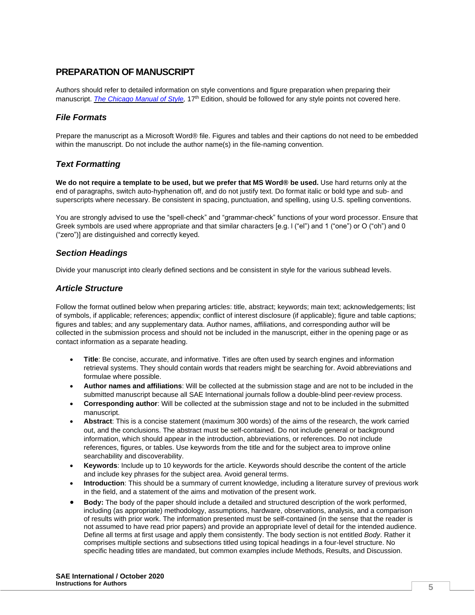# **PREPARATION OF MANUSCRIPT**

Authors should refer to detailed information on style conventions and figure preparation when preparing their manuscript. *The Chicago Manual of Style*, 17<sup>th</sup> Edition, should be followed for any style points not covered here.

## *File Formats*

Prepare the manuscript as a Microsoft Word® file. Figures and tables and their captions do not need to be embedded within the manuscript. Do not include the author name(s) in the file-naming convention.

## *Text Formatting*

**We do not require a template to be used, but we prefer that MS Word® be used.** Use hard returns only at the end of paragraphs, switch auto-hyphenation off, and do not justify text. Do format italic or bold type and sub- and superscripts where necessary. Be consistent in spacing, punctuation, and spelling, using U.S. spelling conventions.

You are strongly advised to use the "spell-check" and "grammar-check" functions of your word processor. Ensure that Greek symbols are used where appropriate and that similar characters [e.g. l ("el") and 1 ("one") or O ("oh") and 0 ("zero")] are distinguished and correctly keyed.

### *Section Headings*

Divide your manuscript into clearly defined sections and be consistent in style for the various subhead levels.

### *Article Structure*

Follow the format outlined below when preparing articles: title, abstract; keywords; main text; acknowledgements; list of symbols, if applicable; references; appendix; conflict of interest disclosure (if applicable); figure and table captions; figures and tables; and any supplementary data. Author names, affiliations, and corresponding author will be collected in the submission process and should not be included in the manuscript, either in the opening page or as contact information as a separate heading.

- **Title**: Be concise, accurate, and informative. Titles are often used by search engines and information retrieval systems. They should contain words that readers might be searching for. Avoid abbreviations and formulae where possible.
- **Author names and affiliations**: Will be collected at the submission stage and are not to be included in the submitted manuscript because all SAE International journals follow a double-blind peer-review process.
- **Corresponding author**: Will be collected at the submission stage and not to be included in the submitted manuscript.
- **Abstract**: This is a concise statement (maximum 300 words) of the aims of the research, the work carried out, and the conclusions. The abstract must be self-contained. Do not include general or background information, which should appear in the introduction, abbreviations, or references. Do not include references, figures, or tables. Use keywords from the title and for the subject area to improve online searchability and discoverability.
- **Keywords**: Include up to 10 keywords for the article. Keywords should describe the content of the article and include key phrases for the subject area. Avoid general terms.
- **Introduction**: This should be a summary of current knowledge, including a literature survey of previous work in the field, and a statement of the aims and motivation of the present work.
- **Body:** The body of the paper should include a detailed and structured description of the work performed, including (as appropriate) methodology, assumptions, hardware, observations, analysis, and a comparison of results with prior work. The information presented must be self-contained (in the sense that the reader is not assumed to have read prior papers) and provide an appropriate level of detail for the intended audience. Define all terms at first usage and apply them consistently. The body section is not entitled *Body*. Rather it comprises multiple sections and subsections titled using topical headings in a four-level structure. No specific heading titles are mandated, but common examples include Methods, Results, and Discussion.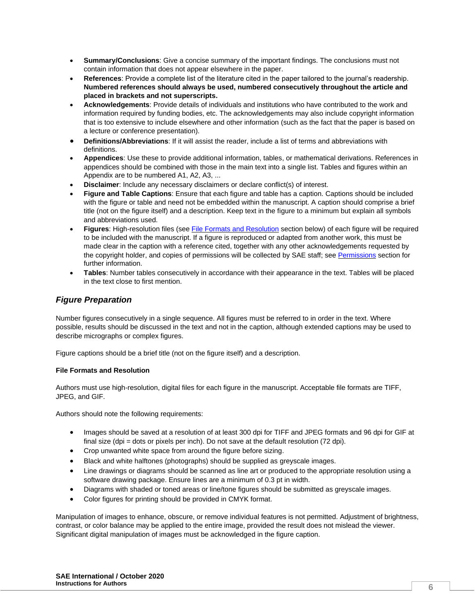- **Summary/Conclusions**: Give a concise summary of the important findings. The conclusions must not contain information that does not appear elsewhere in the paper.
- **References**: Provide a complete list of the literature cited in the paper tailored to the journal's readership. **Numbered references should always be used, numbered consecutively throughout the article and placed in brackets and not superscripts.**
- **Acknowledgements**: Provide details of individuals and institutions who have contributed to the work and information required by funding bodies, etc. The acknowledgements may also include copyright information that is too extensive to include elsewhere and other information (such as the fact that the paper is based on a lecture or conference presentation).
- **Definitions/Abbreviations**: If it will assist the reader, include a list of terms and abbreviations with definitions.
- **Appendices**: Use these to provide additional information, tables, or mathematical derivations. References in appendices should be combined with those in the main text into a single list. Tables and figures within an Appendix are to be numbered A1, A2, A3, ...
- **Disclaimer:** Include any necessary disclaimers or declare conflict(s) of interest.
- **Figure and Table Captions**: Ensure that each figure and table has a caption. Captions should be included with the figure or table and need not be embedded within the manuscript. A caption should comprise a brief title (not on the figure itself) and a description. Keep text in the figure to a minimum but explain all symbols and abbreviations used.
- **Figures**: High-resolution files (see [File Formats and Resolution](#page-5-0) section below) of each figure will be required to be included with the manuscript. If a figure is reproduced or adapted from another work, this must be made clear in the caption with a reference cited, together with any other acknowledgements requested by the copyright holder, and copies of permissions will be collected by SAE staff; se[e Permissions](#page-6-0) section for further information.
- **Tables**: Number tables consecutively in accordance with their appearance in the text. Tables will be placed in the text close to first mention.

## *Figure Preparation*

Number figures consecutively in a single sequence. All figures must be referred to in order in the text. Where possible, results should be discussed in the text and not in the caption, although extended captions may be used to describe micrographs or complex figures.

Figure captions should be a brief title (not on the figure itself) and a description.

#### <span id="page-5-0"></span>**File Formats and Resolution**

Authors must use high-resolution, digital files for each figure in the manuscript. Acceptable file formats are TIFF, JPEG, and GIF.

Authors should note the following requirements:

- Images should be saved at a resolution of at least 300 dpi for TIFF and JPEG formats and 96 dpi for GIF at final size (dpi = dots or pixels per inch). Do not save at the default resolution  $(72 \text{ dpi})$ .
- Crop unwanted white space from around the figure before sizing.
- Black and white halftones (photographs) should be supplied as greyscale images.
- Line drawings or diagrams should be scanned as line art or produced to the appropriate resolution using a software drawing package. Ensure lines are a minimum of 0.3 pt in width.
- Diagrams with shaded or toned areas or line/tone figures should be submitted as greyscale images.
- Color figures for printing should be provided in CMYK format.

Manipulation of images to enhance, obscure, or remove individual features is not permitted. Adjustment of brightness, contrast, or color balance may be applied to the entire image, provided the result does not mislead the viewer. Significant digital manipulation of images must be acknowledged in the figure caption.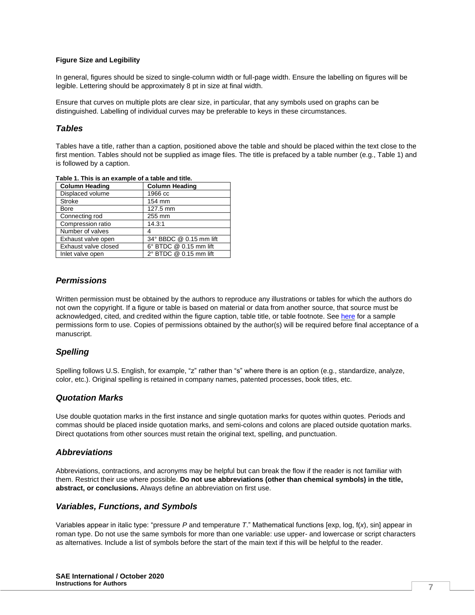#### **Figure Size and Legibility**

In general, figures should be sized to single-column width or full-page width. Ensure the labelling on figures will be legible. Lettering should be approximately 8 pt in size at final width.

Ensure that curves on multiple plots are clear size, in particular, that any symbols used on graphs can be distinguished. Labelling of individual curves may be preferable to keys in these circumstances.

### *Tables*

Tables have a title, rather than a caption, positioned above the table and should be placed within the text close to the first mention. Tables should not be supplied as image files. The title is prefaced by a table number (e.g., Table 1) and is followed by a caption.

| <b>Column Heading</b> | <b>Column Heading</b>   |
|-----------------------|-------------------------|
| Displaced volume      | 1966 cc                 |
| <b>Stroke</b>         | 154 mm                  |
| Bore                  | 127.5 mm                |
| Connecting rod        | 255 mm                  |
| Compression ratio     | 14.3:1                  |
| Number of valves      | 4                       |
| Exhaust valve open    | 34° BBDC @ 0.15 mm lift |
| Exhaust valve closed  | 6° BTDC @ 0.15 mm lift  |
| Inlet valve open      | 2° BTDC @ 0.15 mm lift  |

**Table 1. This is an example of a table and title.** 

## <span id="page-6-0"></span>*Permissions*

Written permission must be obtained by the authors to reproduce any illustrations or tables for which the authors do not own the copyright. If a figure or table is based on material or data from another source, that source must be acknowledged, cited, and credited within the figure caption, table title, or table footnote. Se[e here](http://volunteers.sae.org/authors/copyrightpermission.pdf) for a sample permissions form to use. Copies of permissions obtained by the author(s) will be required before final acceptance of a manuscript.

### *Spelling*

Spelling follows U.S. English, for example, "z" rather than "s" where there is an option (e.g., standardize, analyze, color, etc.). Original spelling is retained in company names, patented processes, book titles, etc.

#### *Quotation Marks*

Use double quotation marks in the first instance and single quotation marks for quotes within quotes. Periods and commas should be placed inside quotation marks, and semi-colons and colons are placed outside quotation marks. Direct quotations from other sources must retain the original text, spelling, and punctuation.

#### *Abbreviations*

Abbreviations, contractions, and acronyms may be helpful but can break the flow if the reader is not familiar with them. Restrict their use where possible. **Do not use abbreviations (other than chemical symbols) in the title, abstract, or conclusions.** Always define an abbreviation on first use.

### *Variables, Functions, and Symbols*

Variables appear in italic type: "pressure *P* and temperature *T*." Mathematical functions [exp, log, f(*x*), sin] appear in roman type. Do not use the same symbols for more than one variable: use upper- and lowercase or script characters as alternatives. Include a list of symbols before the start of the main text if this will be helpful to the reader.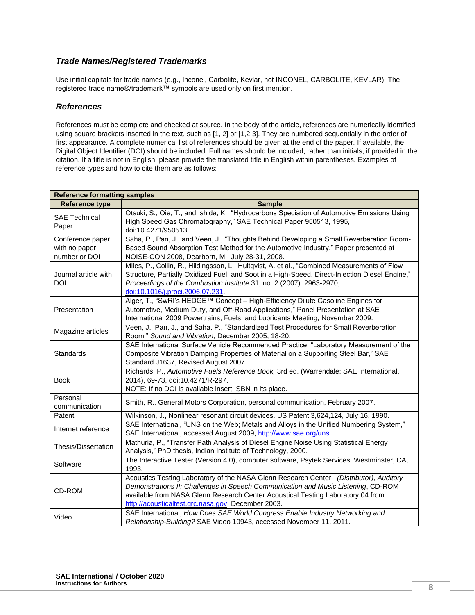## *Trade Names/Registered Trademarks*

Use initial capitals for trade names (e.g., Inconel, Carbolite, Kevlar, not INCONEL, CARBOLITE, KEVLAR). The registered trade name®/trademark™ symbols are used only on first mention.

### *References*

References must be complete and checked at source. In the body of the article, references are numerically identified using square brackets inserted in the text, such as [1, 2] or [1,2,3]. They are numbered sequentially in the order of first appearance. A complete numerical list of references should be given at the end of the paper. If available, the Digital Object Identifier (DOI) should be included. Full names should be included, rather than initials, if provided in the citation. If a title is not in English, please provide the translated title in English within parentheses. Examples of reference types and how to cite them are as follows:

| <b>Reference formatting samples</b>                |                                                                                                                                                                                                                                                                                                                       |
|----------------------------------------------------|-----------------------------------------------------------------------------------------------------------------------------------------------------------------------------------------------------------------------------------------------------------------------------------------------------------------------|
| <b>Reference type</b>                              | <b>Sample</b>                                                                                                                                                                                                                                                                                                         |
| <b>SAE Technical</b><br>Paper                      | Otsuki, S., Oie, T., and Ishida, K., "Hydrocarbons Speciation of Automotive Emissions Using<br>High Speed Gas Chromatography," SAE Technical Paper 950513, 1995,<br>doi:10.4271/950513.                                                                                                                               |
| Conference paper<br>with no paper<br>number or DOI | Saha, P., Pan, J., and Veen, J., "Thoughts Behind Developing a Small Reverberation Room-<br>Based Sound Absorption Test Method for the Automotive Industry," Paper presented at<br>NOISE-CON 2008, Dearborn, MI, July 28-31, 2008.                                                                                    |
| Journal article with<br><b>DOI</b>                 | Miles, P., Collin, R., Hildingsson, L., Hultqvist, A. et al., "Combined Measurements of Flow<br>Structure, Partially Oxidized Fuel, and Soot in a High-Speed, Direct-Injection Diesel Engine,"<br>Proceedings of the Combustion Institute 31, no. 2 (2007): 2963-2970,<br>doi:10.1016/j.proci.2006.07.231.            |
| Presentation                                       | Alger, T., "SwRI's HEDGE™ Concept - High-Efficiency Dilute Gasoline Engines for<br>Automotive, Medium Duty, and Off-Road Applications," Panel Presentation at SAE<br>International 2009 Powertrains, Fuels, and Lubricants Meeting, November 2009.                                                                    |
| Magazine articles                                  | Veen, J., Pan, J., and Saha, P., "Standardized Test Procedures for Small Reverberation<br>Room," Sound and Vibration, December 2005, 18-20.                                                                                                                                                                           |
| Standards                                          | SAE International Surface Vehicle Recommended Practice, "Laboratory Measurement of the<br>Composite Vibration Damping Properties of Material on a Supporting Steel Bar," SAE<br>Standard J1637, Revised August 2007.                                                                                                  |
| <b>Book</b>                                        | Richards, P., Automotive Fuels Reference Book, 3rd ed. (Warrendale: SAE International,<br>2014), 69-73, doi:10.4271/R-297.<br>NOTE: If no DOI is available insert ISBN in its place.                                                                                                                                  |
| Personal<br>communication                          | Smith, R., General Motors Corporation, personal communication, February 2007.                                                                                                                                                                                                                                         |
| Patent                                             | Wilkinson, J., Nonlinear resonant circuit devices. US Patent 3,624,124, July 16, 1990.                                                                                                                                                                                                                                |
| Internet reference                                 | SAE International, "UNS on the Web; Metals and Alloys in the Unified Numbering System,"<br>SAE International, accessed August 2009, http://www.sae.org/uns.                                                                                                                                                           |
| Thesis/Dissertation                                | Mathuria, P., "Transfer Path Analysis of Diesel Engine Noise Using Statistical Energy<br>Analysis," PhD thesis, Indian Institute of Technology, 2000.                                                                                                                                                                 |
| Software                                           | The Interactive Tester (Version 4.0), computer software, Psytek Services, Westminster, CA,<br>1993.                                                                                                                                                                                                                   |
| CD-ROM                                             | Acoustics Testing Laboratory of the NASA Glenn Research Center. (Distributor), Auditory<br>Demonstrations II: Challenges in Speech Communication and Music Listening, CD-ROM<br>available from NASA Glenn Research Center Acoustical Testing Laboratory 04 from<br>http://acousticaltest.grc.nasa.gov, December 2003. |
| Video                                              | SAE International, How Does SAE World Congress Enable Industry Networking and<br>Relationship-Building? SAE Video 10943, accessed November 11, 2011.                                                                                                                                                                  |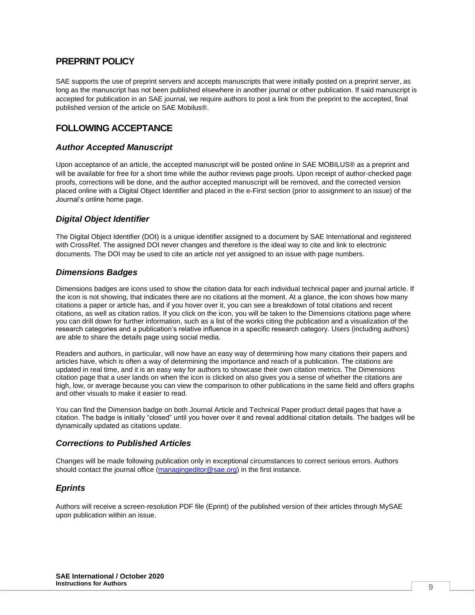# **PREPRINT POLICY**

SAE supports the use of preprint servers and accepts manuscripts that were initially posted on a preprint server, as long as the manuscript has not been published elsewhere in another journal or other publication. If said manuscript is accepted for publication in an SAE journal, we require authors to post a link from the preprint to the accepted, final published version of the article on SAE Mobilus®.

# **FOLLOWING ACCEPTANCE**

### *Author Accepted Manuscript*

Upon acceptance of an article, the accepted manuscript will be posted online in SAE MOBILUS® as a preprint and will be available for free for a short time while the author reviews page proofs. Upon receipt of author-checked page proofs, corrections will be done, and the author accepted manuscript will be removed, and the corrected version placed online with a Digital Object Identifier and placed in the e-First section (prior to assignment to an issue) of the Journal's online home page.

### *Digital Object Identifier*

The Digital Object Identifier (DOI) is a unique identifier assigned to a document by SAE International and registered with CrossRef. The assigned DOI never changes and therefore is the ideal way to cite and link to electronic documents. The DOI may be used to cite an article not yet assigned to an issue with page numbers.

### *Dimensions Badges*

Dimensions badges are icons used to show the citation data for each individual technical paper and journal article. If the icon is not showing, that indicates there are no citations at the moment. At a glance, the icon shows how many citations a paper or article has, and if you hover over it, you can see a breakdown of total citations and recent citations, as well as citation ratios. If you click on the icon, you will be taken to the Dimensions citations page where you can drill down for further information, such as a list of the works citing the publication and a visualization of the research categories and a publication's relative influence in a specific research category. Users (including authors) are able to share the details page using social media.

Readers and authors, in particular, will now have an easy way of determining how many citations their papers and articles have, which is often a way of determining the importance and reach of a publication. The citations are updated in real time, and it is an easy way for authors to showcase their own citation metrics. The Dimensions citation page that a user lands on when the icon is clicked on also gives you a sense of whether the citations are high, low, or average because you can view the comparison to other publications in the same field and offers graphs and other visuals to make it easier to read.

You can find the Dimension badge on both Journal Article and Technical Paper product detail pages that have a citation. The badge is initially "closed" until you hover over it and reveal additional citation details. The badges will be dynamically updated as citations update.

### *Corrections to Published Articles*

Changes will be made following publication only in exceptional circumstances to correct serious errors. Authors should contact the journal office [\(managingeditor@sae.org\)](mailto:managingeditor@sae.org) in the first instance.

### *Eprints*

Authors will receive a screen-resolution PDF file (Eprint) of the published version of their articles through MySAE upon publication within an issue.